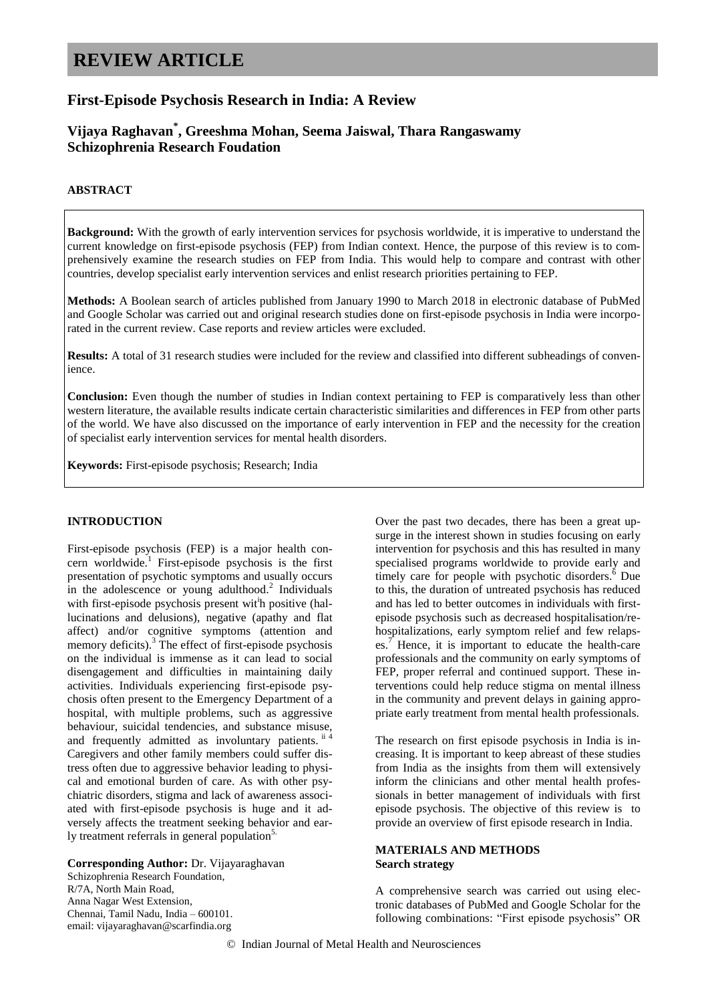# **REVIEW ARTICLE**

# **First-Episode Psychosis Research in India: A Review**

# **Vijaya Raghavan\* , Greeshma Mohan, Seema Jaiswal, Thara Rangaswamy Schizophrenia Research Foudation**

# **ABSTRACT**

**Background:** With the growth of early intervention services for psychosis worldwide, it is imperative to understand the current knowledge on first-episode psychosis (FEP) from Indian context. Hence, the purpose of this review is to comprehensively examine the research studies on FEP from India. This would help to compare and contrast with other countries, develop specialist early intervention services and enlist research priorities pertaining to FEP.

**Methods:** A Boolean search of articles published from January 1990 to March 2018 in electronic database of PubMed and Google Scholar was carried out and original research studies done on first-episode psychosis in India were incorporated in the current review. Case reports and review articles were excluded.

**Results:** A total of 31 research studies were included for the review and classified into different subheadings of convenience.

**Conclusion:** Even though the number of studies in Indian context pertaining to FEP is comparatively less than other western literature, the available results indicate certain characteristic similarities and differences in FEP from other parts of the world. We have also discussed on the importance of early intervention in FEP and the necessity for the creation of specialist early intervention services for mental health disorders.

**Keywords:** First-episode psychosis; Research; India

# **INTRODUCTION**

First-episode psychosis (FEP) is a major health concern worldwide.<sup>1</sup> First-episode psychosis is the first presentation of psychotic symptoms and usually occurs in the adolescence or young adulthood.<sup>2</sup> Individuals with first-episode psychosis present with positive (hallucinations and delusions), negative (apathy and flat affect) and/or cognitive symptoms (attention and memory deficits). $3$  The effect of first-episode psychosis on the individual is immense as it can lead to social disengagement and difficulties in maintaining daily activities. Individuals experiencing first-episode psychosis often present to the Emergency Department of a hospital, with multiple problems, such as aggressive behaviour, suicidal tendencies, and substance misuse, and frequently admitted as involuntary patients. ii<sup>4</sup> Caregivers and other family members could suffer distress often due to aggressive behavior leading to physical and emotional burden of care. As with other psychiatric disorders, stigma and lack of awareness associated with first-episode psychosis is huge and it adversely affects the treatment seeking behavior and early treatment referrals in general population<sup>5.</sup>

**Corresponding Author:** Dr. Vijayaraghavan Schizophrenia Research Foundation, R/7A, North Main Road, Anna Nagar West Extension, Chennai, Tamil Nadu, India – 600101. email: vijayaraghavan@scarfindia.org

Over the past two decades, there has been a great upsurge in the interest shown in studies focusing on early intervention for psychosis and this has resulted in many specialised programs worldwide to provide early and timely care for people with psychotic disorders.<sup>6</sup> Due to this, the duration of untreated psychosis has reduced and has led to better outcomes in individuals with firstepisode psychosis such as decreased hospitalisation/rehospitalizations, early symptom relief and few relapses.<sup>7</sup> Hence, it is important to educate the health-care professionals and the community on early symptoms of FEP, proper referral and continued support. These interventions could help reduce stigma on mental illness in the community and prevent delays in gaining appropriate early treatment from mental health professionals.

The research on first episode psychosis in India is increasing. It is important to keep abreast of these studies from India as the insights from them will extensively inform the clinicians and other mental health professionals in better management of individuals with first episode psychosis. The objective of this review is to provide an overview of first episode research in India.

# **MATERIALS AND METHODS Search strategy**

A comprehensive search was carried out using electronic databases of PubMed and Google Scholar for the following combinations: "First episode psychosis" OR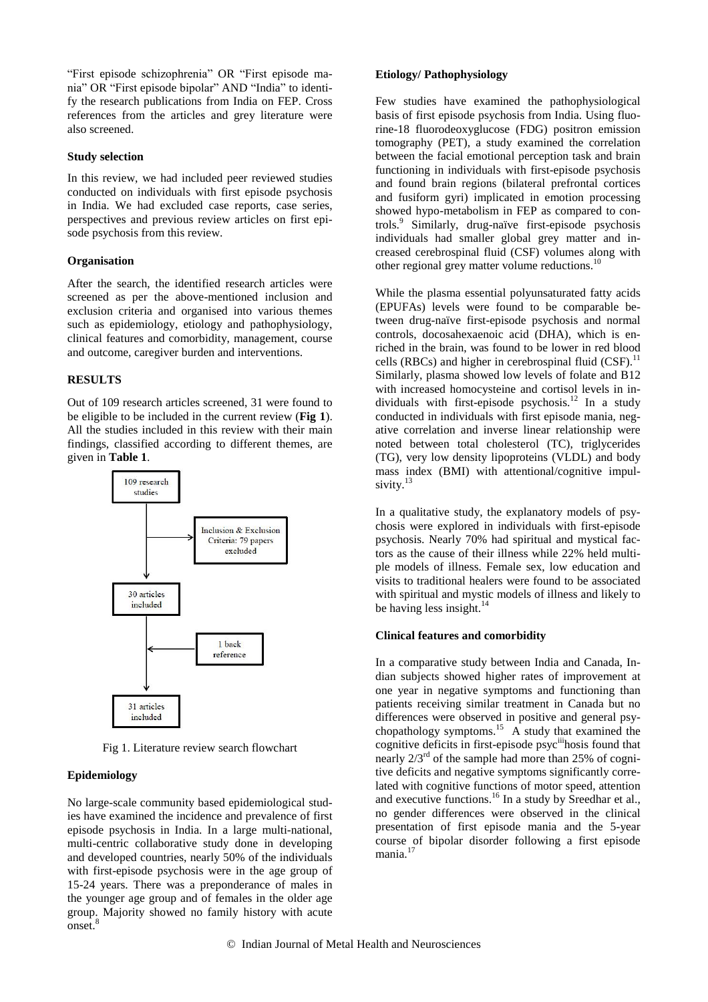"First episode schizophrenia" OR "First episode mania" OR "First episode bipolar" AND "India" to identify the research publications from India on FEP. Cross references from the articles and grey literature were also screened.

#### **Study selection**

In this review, we had included peer reviewed studies conducted on individuals with first episode psychosis in India. We had excluded case reports, case series, perspectives and previous review articles on first episode psychosis from this review.

# **Organisation**

After the search, the identified research articles were screened as per the above-mentioned inclusion and exclusion criteria and organised into various themes such as epidemiology, etiology and pathophysiology, clinical features and comorbidity, management, course and outcome, caregiver burden and interventions.

# **RESULTS**

Out of 109 research articles screened, 31 were found to be eligible to be included in the current review (**Fig 1**). All the studies included in this review with their main findings, classified according to different themes, are given in **Table 1**.



Fig 1. Literature review search flowchart

# **Epidemiology**

No large-scale community based epidemiological studies have examined the incidence and prevalence of first episode psychosis in India. In a large multi-national, multi-centric collaborative study done in developing and developed countries, nearly 50% of the individuals with first-episode psychosis were in the age group of 15-24 years. There was a preponderance of males in the younger age group and of females in the older age group. Majority showed no family history with acute onset.<sup>8</sup>

#### **Etiology/ Pathophysiology**

Few studies have examined the pathophysiological basis of first episode psychosis from India. Using fluorine-18 fluorodeoxyglucose (FDG) positron emission tomography (PET), a study examined the correlation between the facial emotional perception task and brain functioning in individuals with first-episode psychosis and found brain regions (bilateral prefrontal cortices and fusiform gyri) implicated in emotion processing showed hypo-metabolism in FEP as compared to controls.<sup>9</sup> Similarly, drug-naïve first-episode psychosis individuals had smaller global grey matter and increased cerebrospinal fluid (CSF) volumes along with other regional grey matter volume reductions.<sup>10</sup>

While the plasma essential polyunsaturated fatty acids (EPUFAs) levels were found to be comparable between drug-naïve first-episode psychosis and normal controls, docosahexaenoic acid (DHA), which is enriched in the brain, was found to be lower in red blood cells (RBCs) and higher in cerebrospinal fluid  $(CSF)$ .<sup>11</sup> Similarly, plasma showed low levels of folate and B12 with increased homocysteine and cortisol levels in individuals with first-episode psychosis.<sup>12</sup> In a study conducted in individuals with first episode mania, negative correlation and inverse linear relationship were noted between total cholesterol (TC), triglycerides (TG), very low density lipoproteins (VLDL) and body mass index (BMI) with attentional/cognitive impulsivity.<sup>13</sup>

In a qualitative study, the explanatory models of psychosis were explored in individuals with first-episode psychosis. Nearly 70% had spiritual and mystical factors as the cause of their illness while 22% held multiple models of illness. Female sex, low education and visits to traditional healers were found to be associated with spiritual and mystic models of illness and likely to be having less insight. $^{14}$ 

#### **Clinical features and comorbidity**

In a comparative study between India and Canada, Indian subjects showed higher rates of improvement at one year in negative symptoms and functioning than patients receiving similar treatment in Canada but no differences were observed in positive and general psychopathology symptoms.<sup>15</sup> A study that examined the cognitive deficits in first-episode psyc<sup>iii</sup>hosis found that nearly  $2/3^{rd}$  of the sample had more than 25% of cognitive deficits and negative symptoms significantly correlated with cognitive functions of motor speed, attention and executive functions.<sup>16</sup> In a study by Sreedhar et al., no gender differences were observed in the clinical presentation of first episode mania and the 5-year course of bipolar disorder following a first episode mania.<sup>17</sup>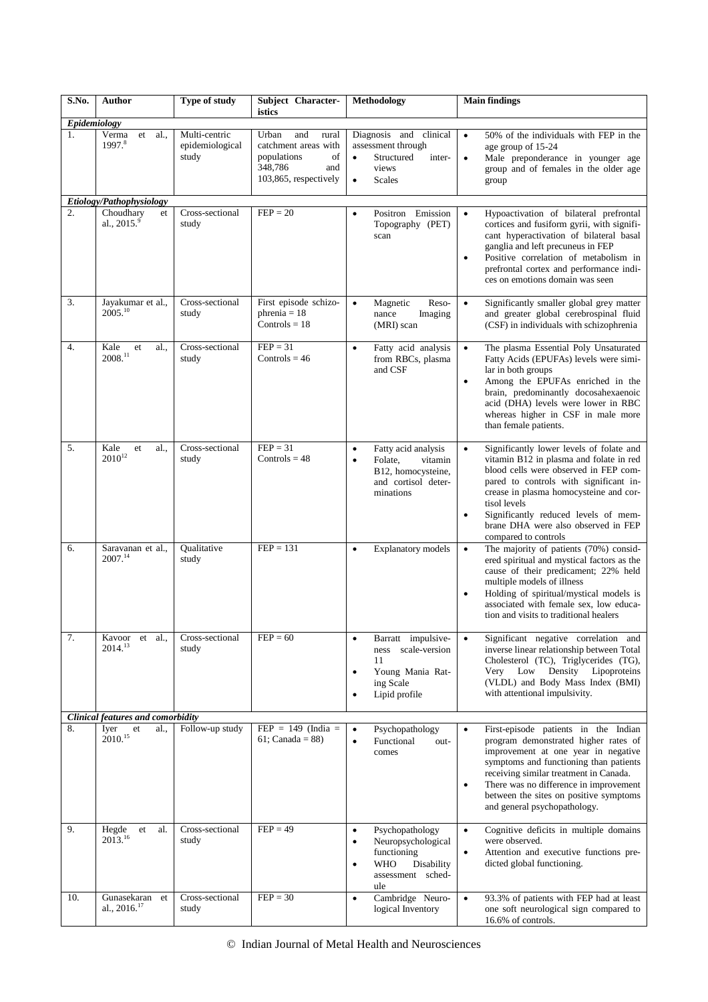| S.No.              | Author                                                       | Type of study                             | Subject Character-<br>istics                                                                                  | Methodology                                                                                                                                  | <b>Main findings</b>                                                                                                                                                                                                                                                                                                                                              |
|--------------------|--------------------------------------------------------------|-------------------------------------------|---------------------------------------------------------------------------------------------------------------|----------------------------------------------------------------------------------------------------------------------------------------------|-------------------------------------------------------------------------------------------------------------------------------------------------------------------------------------------------------------------------------------------------------------------------------------------------------------------------------------------------------------------|
| Epidemiology<br>1. | Verma<br>et<br>al.,<br>1997.8                                | Multi-centric<br>epidemiological<br>study | Urban<br>and<br>rural<br>catchment areas with<br>populations<br>of<br>348,786<br>and<br>103,865, respectively | Diagnosis and clinical<br>assessment through<br>Structured<br>inter-<br>views<br>$\bullet$<br><b>Scales</b>                                  | 50% of the individuals with FEP in the<br>$\bullet$<br>age group of 15-24<br>Male preponderance in younger age<br>$\bullet$<br>group and of females in the older age<br>group                                                                                                                                                                                     |
| $\overline{2}$ .   | Etiology/Pathophysiology<br>Choudhary<br>et<br>al., $2015.9$ | Cross-sectional<br>study                  | $FEP = 20$                                                                                                    | Positron Emission<br>$\bullet$<br>Topography (PET)<br>scan                                                                                   | Hypoactivation of bilateral prefrontal<br>cortices and fusiform gyrii, with signifi-<br>cant hyperactivation of bilateral basal<br>ganglia and left precuneus in FEP<br>Positive correlation of metabolism in<br>$\bullet$<br>prefrontal cortex and performance indi-<br>ces on emotions domain was seen                                                          |
| 3.                 | Jayakumar et al.,<br>$2005^{10}$                             | Cross-sectional<br>study                  | First episode schizo-<br>phrenia = $18$<br>Controls = $18$                                                    | $\bullet$<br>Magnetic<br>Reso-<br>Imaging<br>nance<br>(MRI) scan                                                                             | Significantly smaller global grey matter<br>$\bullet$<br>and greater global cerebrospinal fluid<br>(CSF) in individuals with schizophrenia                                                                                                                                                                                                                        |
| 4.                 | Kale<br>al.,<br>et<br>2008.11                                | Cross-sectional<br>study                  | $FEP = 31$<br>Controls = $46$                                                                                 | Fatty acid analysis<br>$\bullet$<br>from RBCs, plasma<br>and CSF                                                                             | The plasma Essential Poly Unsaturated<br>$\bullet$<br>Fatty Acids (EPUFAs) levels were simi-<br>lar in both groups<br>Among the EPUFAs enriched in the<br>$\bullet$<br>brain, predominantly docosahexaenoic<br>acid (DHA) levels were lower in RBC<br>whereas higher in CSF in male more<br>than female patients.                                                 |
| 5.                 | Kale<br>al.,<br>et<br>$2010^{12}$                            | Cross-sectional<br>study                  | $FEP = 31$<br>Controls = $48$                                                                                 | Fatty acid analysis<br>$\bullet$<br>Folate,<br>vitamin<br>$\bullet$<br>B12, homocysteine,<br>and cortisol deter-<br>minations                | Significantly lower levels of folate and<br>$\bullet$<br>vitamin B12 in plasma and folate in red<br>blood cells were observed in FEP com-<br>pared to controls with significant in-<br>crease in plasma homocysteine and cor-<br>tisol levels<br>Significantly reduced levels of mem-<br>$\bullet$<br>brane DHA were also observed in FEP<br>compared to controls |
| 6.                 | Saravanan et al.,<br>2007. <sup>14</sup>                     | Qualitative<br>study                      | $FEP = 131$                                                                                                   | <b>Explanatory</b> models<br>$\bullet$                                                                                                       | The majority of patients (70%) consid-<br>$\bullet$<br>ered spiritual and mystical factors as the<br>cause of their predicament; 22% held<br>multiple models of illness<br>Holding of spiritual/mystical models is<br>$\bullet$<br>associated with female sex, low educa-<br>tion and visits to traditional healers                                               |
| 7.                 | Kavoor et al<br>2014. <sup>13</sup>                          | Cross-sectional<br>study                  | $FEP = 60$                                                                                                    | Barratt impulsive-<br>$\bullet$<br>ness scale-version<br>11<br>Young Mania Rat-<br>$\bullet$<br>ing Scale<br>Lipid profile<br>$\bullet$      | Significant negative correlation and<br>$\bullet$<br>inverse linear relationship between Total<br>Cholesterol (TC), Triglycerides (TG),<br>Density<br>Very Low<br>Lipoproteins<br>(VLDL) and Body Mass Index (BMI)<br>with attentional impulsivity.                                                                                                               |
|                    | <b>Clinical features and comorbidity</b>                     |                                           | $FEP = 149$ (India =                                                                                          |                                                                                                                                              |                                                                                                                                                                                                                                                                                                                                                                   |
| 8.                 | Iyer<br>al.,<br>et<br>2010. <sup>15</sup>                    | Follow-up study                           | 61; Canada = $88$ )                                                                                           | Psychopathology<br>$\bullet$<br>Functional<br>out-<br>$\bullet$<br>comes                                                                     | First-episode patients in the Indian<br>$\bullet$<br>program demonstrated higher rates of<br>improvement at one year in negative<br>symptoms and functioning than patients<br>receiving similar treatment in Canada.<br>There was no difference in improvement<br>٠<br>between the sites on positive symptoms<br>and general psychopathology.                     |
| 9.                 | al.<br>Hegde<br>et<br>$2013^{16}$                            | Cross-sectional<br>study                  | $FEP = 49$                                                                                                    | Psychopathology<br>$\bullet$<br>Neuropsychological<br>$\bullet$<br>functioning<br>Disability<br>WHO<br>$\bullet$<br>assessment sched-<br>ule | Cognitive deficits in multiple domains<br>$\bullet$<br>were observed.<br>Attention and executive functions pre-<br>$\bullet$<br>dicted global functioning.                                                                                                                                                                                                        |
| 10.                | Gunasekaran et<br>al., 2016. <sup>17</sup>                   | Cross-sectional<br>study                  | $FEP = 30$                                                                                                    | Cambridge Neuro-<br>$\bullet$<br>logical Inventory                                                                                           | 93.3% of patients with FEP had at least<br>$\bullet$<br>one soft neurological sign compared to<br>16.6% of controls.                                                                                                                                                                                                                                              |

© Indian Journal of Metal Health and Neurosciences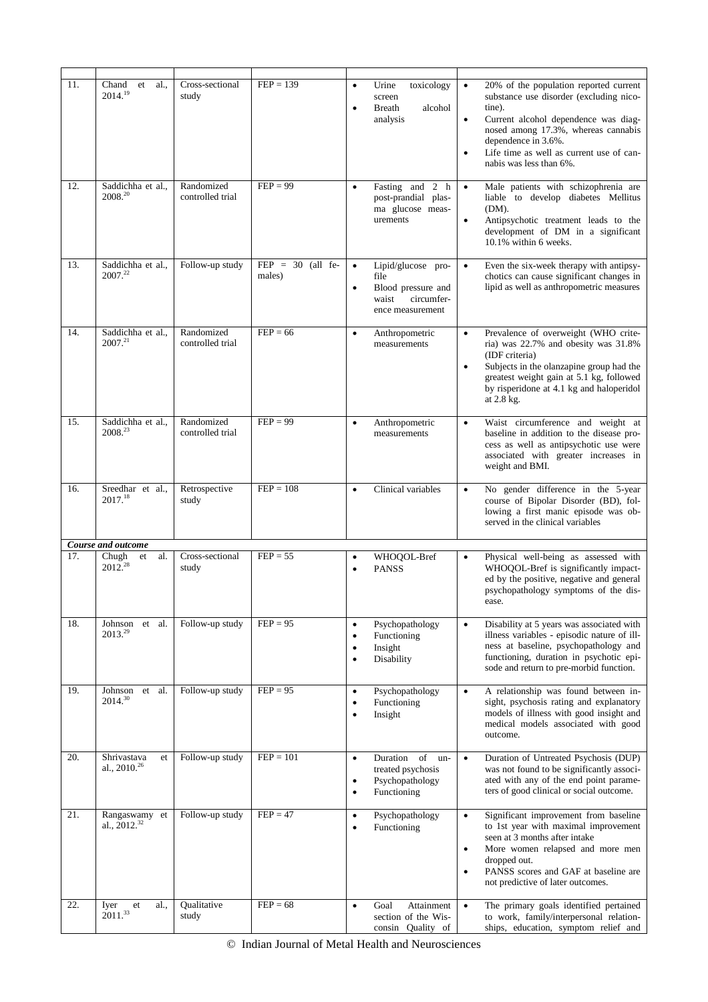| 11. | al.<br>Chand<br>et<br>2014.19                 | Cross-sectional<br>study       | $FEP = 139$                   | $\bullet$<br>$\bullet$                           | Urine<br>toxicology<br>screen<br>alcohol<br><b>Breath</b><br>analysis                       | $\bullet$<br>tine).<br>$\bullet$<br>$\bullet$       | 20% of the population reported current<br>substance use disorder (excluding nico-<br>Current alcohol dependence was diag-<br>nosed among 17.3%, whereas cannabis<br>dependence in 3.6%.<br>Life time as well as current use of can-<br>nabis was less than 6%. |
|-----|-----------------------------------------------|--------------------------------|-------------------------------|--------------------------------------------------|---------------------------------------------------------------------------------------------|-----------------------------------------------------|----------------------------------------------------------------------------------------------------------------------------------------------------------------------------------------------------------------------------------------------------------------|
| 12. | Saddichha et al.,<br>2008.20                  | Randomized<br>controlled trial | $FEP = 99$                    | $\bullet$                                        | Fasting and $2 h$<br>post-prandial plas-<br>ma glucose meas-<br>urements                    | $\bullet$<br>(DM).<br>$\bullet$                     | Male patients with schizophrenia are<br>liable to develop diabetes Mellitus<br>Antipsychotic treatment leads to the<br>development of DM in a significant<br>10.1% within 6 weeks.                                                                             |
| 13. | Saddichha et al.,<br>2007.22                  | Follow-up study                | $FEP = 30$ (all fe-<br>males) | $\bullet$<br>$\bullet$                           | Lipid/glucose pro-<br>file<br>Blood pressure and<br>waist<br>circumfer-<br>ence measurement | $\bullet$                                           | Even the six-week therapy with antipsy-<br>chotics can cause significant changes in<br>lipid as well as anthropometric measures                                                                                                                                |
| 14. | Saddichha et al.,<br>$2007^{21}$              | Randomized<br>controlled trial | $FEP = 66$                    | $\bullet$                                        | Anthropometric<br>measurements                                                              | $\bullet$<br>$\bullet$<br>at 2.8 kg.                | Prevalence of overweight (WHO crite-<br>ria) was 22.7% and obesity was 31.8%<br>(IDF criteria)<br>Subjects in the olanzapine group had the<br>greatest weight gain at 5.1 kg, followed<br>by risperidone at 4.1 kg and haloperidol                             |
| 15. | Saddichha et al.,<br>2008. <sup>23</sup>      | Randomized<br>controlled trial | $FEP = 99$                    | $\bullet$                                        | Anthropometric<br>measurements                                                              | $\bullet$                                           | Waist circumference and weight at<br>baseline in addition to the disease pro-<br>cess as well as antipsychotic use were<br>associated with greater increases in<br>weight and BMI.                                                                             |
| 16. | Sreedhar et al.,<br>2017.18                   | Retrospective<br>study         | $FEP = 108$                   | $\bullet$                                        | Clinical variables                                                                          | $\bullet$                                           | No gender difference in the 5-year<br>course of Bipolar Disorder (BD), fol-<br>lowing a first manic episode was ob-<br>served in the clinical variables                                                                                                        |
|     | Course and outcome                            |                                |                               |                                                  |                                                                                             |                                                     |                                                                                                                                                                                                                                                                |
| 17. | al.<br>Chugh<br>et<br>$2012^{28}$             | Cross-sectional<br>study       | $FEP = 55$                    | $\bullet$<br>$\bullet$                           | WHOQOL-Bref<br><b>PANSS</b>                                                                 | $\bullet$<br>ease.                                  | Physical well-being as assessed with<br>WHOQOL-Bref is significantly impact-<br>ed by the positive, negative and general<br>psychopathology symptoms of the dis-                                                                                               |
| 18. | Johnson et al.<br>2013.29                     | Follow-up study                | $FEP = 95$                    | $\bullet$<br>$\bullet$<br>$\bullet$<br>$\bullet$ | Psychopathology<br>Functioning<br>Insight<br>Disability                                     | $\bullet$                                           | Disability at 5 years was associated with<br>illness variables - episodic nature of ill-<br>ness at baseline, psychopathology and<br>functioning, duration in psychotic epi-<br>sode and return to pre-morbid function.                                        |
| 19. | Johnson et al.<br>2014. <sup>30</sup>         | Follow-up study                | $FEP = 95$                    | $\bullet$<br>$\bullet$<br>$\bullet$              | Psychopathology<br>Functioning<br>Insight                                                   | $\bullet$<br>outcome.                               | A relationship was found between in-<br>sight, psychosis rating and explanatory<br>models of illness with good insight and<br>medical models associated with good                                                                                              |
| 20. | Shrivastava<br>et<br>al., 2010. <sup>26</sup> | Follow-up study                | $FEP = 101$                   | $\bullet$<br>$\bullet$<br>$\bullet$              | Duration<br>of un-<br>treated psychosis<br>Psychopathology<br>Functioning                   | $\bullet$                                           | Duration of Untreated Psychosis (DUP)<br>was not found to be significantly associ-<br>ated with any of the end point parame-<br>ters of good clinical or social outcome.                                                                                       |
| 21. | Rangaswamy et<br>al., $2012.^{32}$            | Follow-up study                | $FEP = 47$                    | $\bullet$<br>$\bullet$                           | Psychopathology<br>Functioning                                                              | $\bullet$<br>$\bullet$<br>dropped out.<br>$\bullet$ | Significant improvement from baseline<br>to 1st year with maximal improvement<br>seen at 3 months after intake<br>More women relapsed and more men<br>PANSS scores and GAF at baseline are<br>not predictive of later outcomes.                                |
| 22. | al.,<br>Iyer<br>${\it et}$<br>$2011^{33}$     | Qualitative<br>study           | $FEP = 68$                    | $\bullet$                                        | Attainment<br>Goal<br>section of the Wis-<br>consin Quality of                              | $\bullet$                                           | The primary goals identified pertained<br>to work, family/interpersonal relation-<br>ships, education, symptom relief and                                                                                                                                      |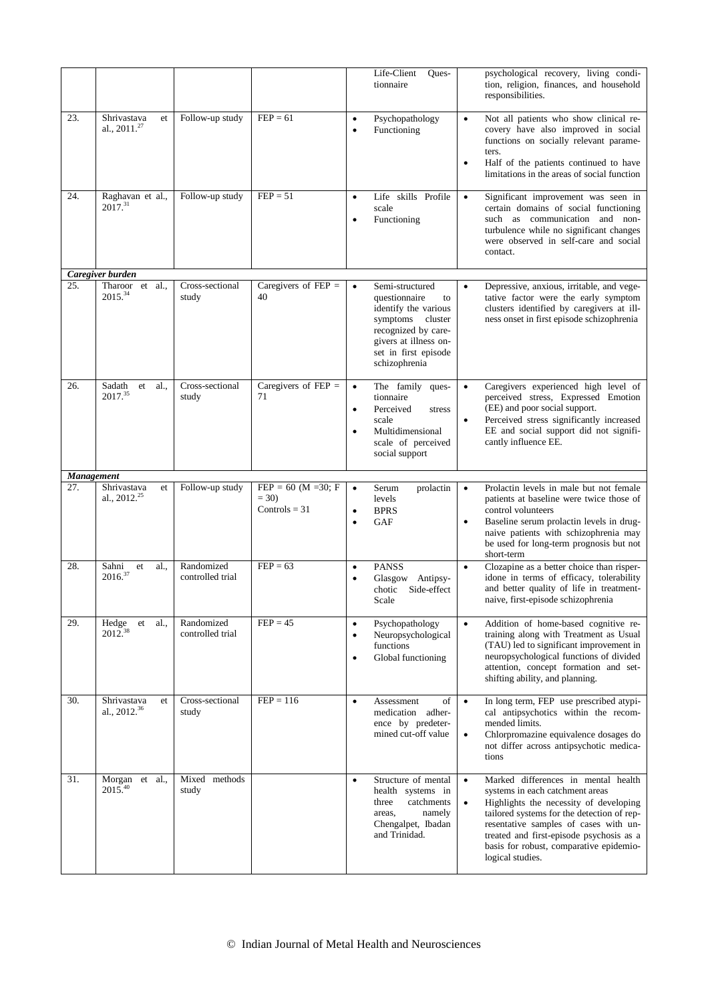|     |                                               |                                |                                                    | Life-Client<br>Ques-<br>tionnaire                                                                                                                                   | psychological recovery, living condi-<br>tion, religion, finances, and household<br>responsibilities.                                                                                                                                                                |
|-----|-----------------------------------------------|--------------------------------|----------------------------------------------------|---------------------------------------------------------------------------------------------------------------------------------------------------------------------|----------------------------------------------------------------------------------------------------------------------------------------------------------------------------------------------------------------------------------------------------------------------|
| 23. | Shrivastava<br>et<br>al., $2011.^{27}$        | Follow-up study                | $FEP = 61$                                         | Psychopathology<br>٠<br>Functioning<br>$\bullet$                                                                                                                    | Not all patients who show clinical re-<br>$\bullet$<br>covery have also improved in social<br>functions on socially relevant parame-<br>ters.<br>Half of the patients continued to have<br>$\bullet$<br>limitations in the areas of social function                  |
| 24. | Raghavan et al.,<br>$2017^{31}$               | Follow-up study                | $FEP = 51$                                         | Life skills Profile<br>$\bullet$<br>scale<br>Functioning<br>$\bullet$                                                                                               | Significant improvement was seen in<br>$\bullet$<br>certain domains of social functioning<br>such as communication and non-<br>turbulence while no significant changes<br>were observed in self-care and social<br>contact.                                          |
| 25. | Caregiver burden<br>Tharoor et al.,           | Cross-sectional                | Caregivers of $FEP =$                              | Semi-structured<br>$\bullet$                                                                                                                                        | Depressive, anxious, irritable, and vege-                                                                                                                                                                                                                            |
|     | 2015.34                                       | study                          | 40                                                 | questionnaire<br>to<br>identify the various<br>symptoms cluster<br>recognized by care-<br>givers at illness on-<br>set in first episode<br>schizophrenia            | tative factor were the early symptom<br>clusters identified by caregivers at ill-<br>ness onset in first episode schizophrenia                                                                                                                                       |
| 26. | al.<br>Sadath<br>et<br>2017.35                | Cross-sectional<br>study       | Caregivers of $FEP =$<br>71                        | The family<br>ques-<br>$\bullet$<br>tionnaire<br>Perceived<br>stress<br>$\bullet$<br>scale<br>Multidimensional<br>$\bullet$<br>scale of perceived<br>social support | Caregivers experienced high level of<br>perceived stress, Expressed Emotion<br>(EE) and poor social support.<br>Perceived stress significantly increased<br>$\bullet$<br>EE and social support did not signifi-<br>cantly influence EE.                              |
|     | <b>Management</b>                             |                                |                                                    |                                                                                                                                                                     |                                                                                                                                                                                                                                                                      |
|     |                                               |                                |                                                    |                                                                                                                                                                     |                                                                                                                                                                                                                                                                      |
| 27. | Shrivastava<br>et<br>al., $2012.^{25}$        | Follow-up study                | $FEP = 60$ (M = 30; F<br>$= 30$<br>Controls = $31$ | Serum<br>prolactin<br>$\bullet$<br>levels<br><b>BPRS</b><br>$\bullet$<br>GAF<br>$\bullet$                                                                           | Prolactin levels in male but not female<br>$\bullet$<br>patients at baseline were twice those of<br>control volunteers<br>Baseline serum prolactin levels in drug-<br>naive patients with schizophrenia may<br>be used for long-term prognosis but not<br>short-term |
| 28. | al.,<br>Sahni<br>et<br>2016. <sup>37</sup>    | Randomized<br>controlled trial | $FEP = 63$                                         | <b>PANSS</b><br>$\bullet$<br>Glasgow<br>Antipsy-<br>Side-effect<br>chotic<br>Scale                                                                                  | Clozapine as a better choice than risper-<br>$\bullet$<br>idone in terms of efficacy, tolerability<br>and better quality of life in treatment-<br>naive, first-episode schizophrenia                                                                                 |
| 29. | al.<br>Hedge<br>et<br>$2012.^{38}$            | Randomized<br>controlled trial | $FEP = 45$                                         | Psychopathology<br>$\bullet$<br>Neuropsychological<br>$\bullet$<br>functions<br>Global functioning<br>$\bullet$                                                     | $\bullet$<br>Addition of home-based cognitive re-<br>training along with Treatment as Usual<br>(TAU) led to significant improvement in<br>neuropsychological functions of divided<br>attention, concept formation and set-<br>shifting ability, and planning.        |
| 30. | Shrivastava<br>et<br>al., 2012. <sup>36</sup> | Cross-sectional<br>study       | $FEP = 116$                                        | Assessment<br>of<br>$\bullet$<br>medication adher-<br>ence by predeter-<br>mined cut-off value                                                                      | In long term, FEP use prescribed atypi-<br>$\bullet$<br>cal antipsychotics within the recom-<br>mended limits.<br>Chlorpromazine equivalence dosages do<br>$\bullet$<br>not differ across antipsychotic medica-<br>tions                                             |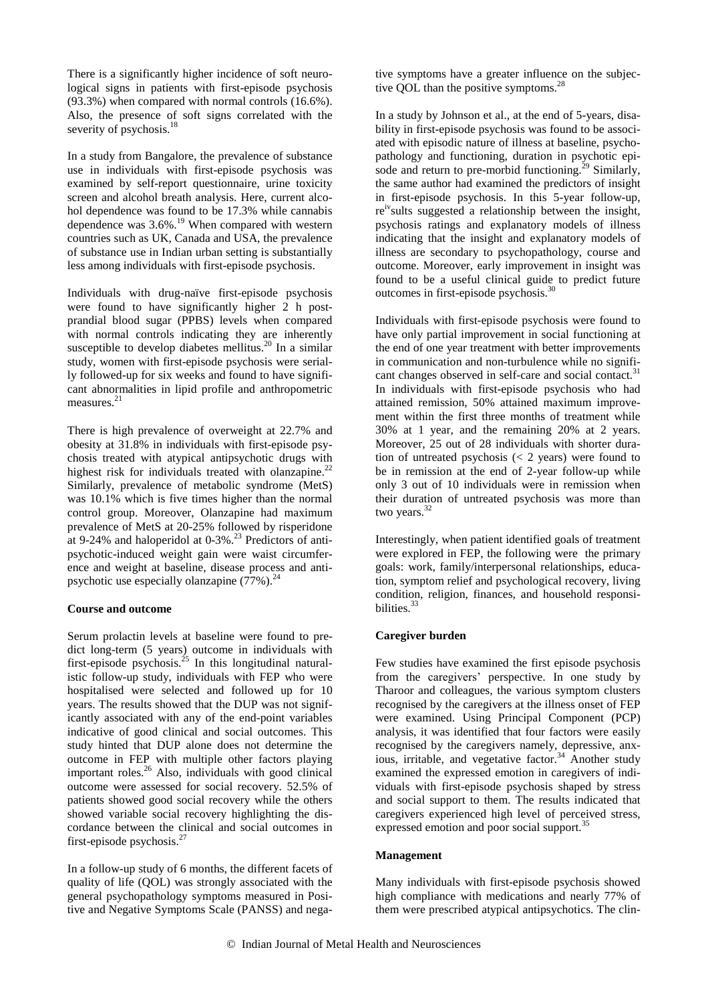There is a significantly higher incidence of soft neurological signs in patients with first-episode psychosis (93.3%) when compared with normal controls (16.6%). Also, the presence of soft signs correlated with the severity of psychosis.<sup>18</sup>

In a study from Bangalore, the prevalence of substance use in individuals with first-episode psychosis was examined by self-report questionnaire, urine toxicity screen and alcohol breath analysis. Here, current alcohol dependence was found to be 17.3% while cannabis dependence was  $3.6\%$ <sup>19</sup> When compared with western countries such as UK, Canada and USA, the prevalence of substance use in Indian urban setting is substantially less among individuals with first-episode psychosis.

Individuals with drug-naïve first-episode psychosis were found to have significantly higher 2 h postprandial blood sugar (PPBS) levels when compared with normal controls indicating they are inherently susceptible to develop diabetes mellitus.<sup>20</sup> In a similar study, women with first-episode psychosis were serially followed-up for six weeks and found to have significant abnormalities in lipid profile and anthropometric measures.<sup>21</sup>

There is high prevalence of overweight at 22.7% and obesity at 31.8% in individuals with first-episode psychosis treated with atypical antipsychotic drugs with highest risk for individuals treated with olanzapine.<sup>22</sup> Similarly, prevalence of metabolic syndrome (MetS) was 10.1% which is five times higher than the normal control group. Moreover, Olanzapine had maximum prevalence of MetS at 20-25% followed by risperidone at 9-24% and haloperidol at  $0-3\%$ .<sup>23</sup> Predictors of antipsychotic-induced weight gain were waist circumference and weight at baseline, disease process and antipsychotic use especially olanzapine  $(77%)$ .<sup>24</sup>

# **Course and outcome**

Serum prolactin levels at baseline were found to predict long-term (5 years) outcome in individuals with first-episode psychosis.<sup>25</sup> In this longitudinal naturalistic follow-up study, individuals with FEP who were hospitalised were selected and followed up for 10 years. The results showed that the DUP was not significantly associated with any of the end-point variables indicative of good clinical and social outcomes. This study hinted that DUP alone does not determine the outcome in FEP with multiple other factors playing important roles.<sup>26</sup> Also, individuals with good clinical outcome were assessed for social recovery. 52.5% of patients showed good social recovery while the others showed variable social recovery highlighting the discordance between the clinical and social outcomes in first-episode psychosis.<sup>27</sup>

In a follow-up study of 6 months, the different facets of quality of life (QOL) was strongly associated with the general psychopathology symptoms measured in Positive and Negative Symptoms Scale (PANSS) and negative symptoms have a greater influence on the subjective QOL than the positive symptoms.<sup>28</sup>

In a study by Johnson et al., at the end of 5-years, disability in first-episode psychosis was found to be associated with episodic nature of illness at baseline, psychopathology and functioning, duration in psychotic episode and return to pre-morbid functioning.<sup>29</sup> Similarly, the same author had examined the predictors of insight in first-episode psychosis. In this 5-year follow-up, re<sup>iv</sup>sults suggested a relationship between the insight, psychosis ratings and explanatory models of illness indicating that the insight and explanatory models of illness are secondary to psychopathology, course and outcome. Moreover, early improvement in insight was found to be a useful clinical guide to predict future outcomes in first-episode psychosis.<sup>30</sup>

Individuals with first-episode psychosis were found to have only partial improvement in social functioning at the end of one year treatment with better improvements in communication and non-turbulence while no significant changes observed in self-care and social contact.<sup>31</sup> In individuals with first-episode psychosis who had attained remission, 50% attained maximum improvement within the first three months of treatment while 30% at 1 year, and the remaining 20% at 2 years. Moreover, 25 out of 28 individuals with shorter duration of untreated psychosis  $(< 2$  years) were found to be in remission at the end of 2-year follow-up while only 3 out of 10 individuals were in remission when their duration of untreated psychosis was more than two years.<sup>32</sup>

Interestingly, when patient identified goals of treatment were explored in FEP, the following were the primary goals: work, family/interpersonal relationships, education, symptom relief and psychological recovery, living condition, religion, finances, and household responsibilities.<sup>33</sup>

# **Caregiver burden**

Few studies have examined the first episode psychosis from the caregivers' perspective. In one study by Tharoor and colleagues, the various symptom clusters recognised by the caregivers at the illness onset of FEP were examined. Using Principal Component (PCP) analysis, it was identified that four factors were easily recognised by the caregivers namely, depressive, anxious, irritable, and vegetative factor.<sup>34</sup> Another study examined the expressed emotion in caregivers of individuals with first-episode psychosis shaped by stress and social support to them. The results indicated that caregivers experienced high level of perceived stress, expressed emotion and poor social support.<sup>35</sup>

# **Management**

Many individuals with first-episode psychosis showed high compliance with medications and nearly 77% of them were prescribed atypical antipsychotics. The clin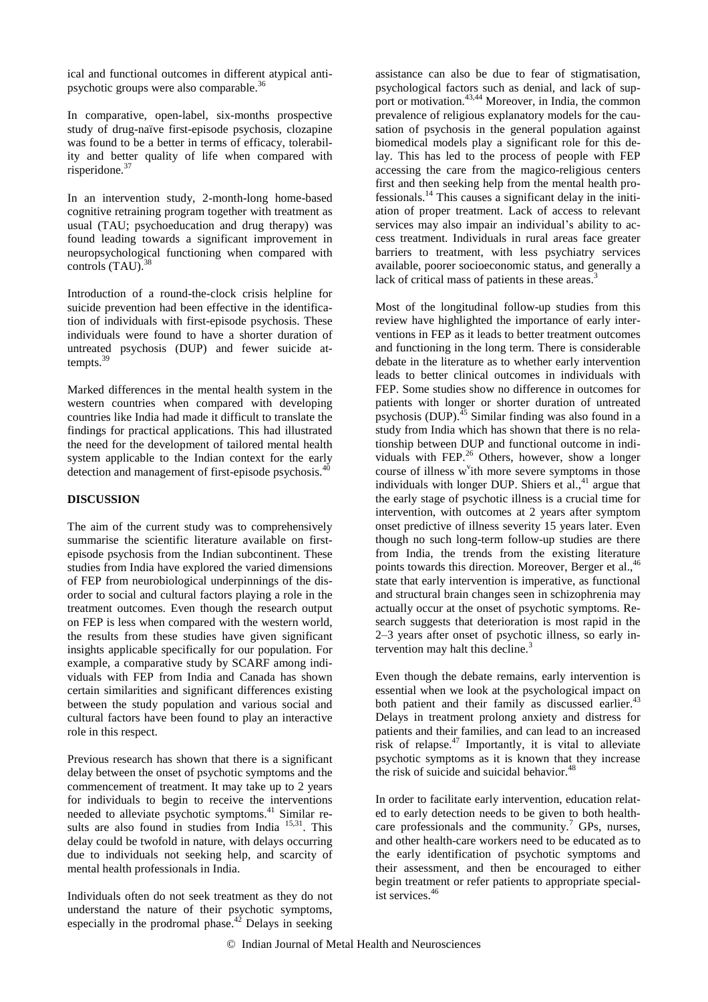ical and functional outcomes in different atypical antipsychotic groups were also comparable.<sup>36</sup>

In comparative, open-label, six-months prospective study of drug-naïve first-episode psychosis, clozapine was found to be a better in terms of efficacy, tolerability and better quality of life when compared with risperidone. $37$ 

In an intervention study, 2-month-long home-based cognitive retraining program together with treatment as usual (TAU; psychoeducation and drug therapy) was found leading towards a significant improvement in neuropsychological functioning when compared with controls (TAU).<sup>38</sup>

Introduction of a round-the-clock crisis helpline for suicide prevention had been effective in the identification of individuals with first-episode psychosis. These individuals were found to have a shorter duration of untreated psychosis (DUP) and fewer suicide attempts. $39$ 

Marked differences in the mental health system in the western countries when compared with developing countries like India had made it difficult to translate the findings for practical applications. This had illustrated the need for the development of tailored mental health system applicable to the Indian context for the early detection and management of first-episode psychosis.<sup>40</sup>

# **DISCUSSION**

The aim of the current study was to comprehensively summarise the scientific literature available on firstepisode psychosis from the Indian subcontinent. These studies from India have explored the varied dimensions of FEP from neurobiological underpinnings of the disorder to social and cultural factors playing a role in the treatment outcomes. Even though the research output on FEP is less when compared with the western world, the results from these studies have given significant insights applicable specifically for our population. For example, a comparative study by SCARF among individuals with FEP from India and Canada has shown certain similarities and significant differences existing between the study population and various social and cultural factors have been found to play an interactive role in this respect.

Previous research has shown that there is a significant delay between the onset of psychotic symptoms and the commencement of treatment. It may take up to 2 years for individuals to begin to receive the interventions needed to alleviate psychotic symptoms. <sup>41</sup> Similar results are also found in studies from India<sup>15,31</sup>. This delay could be twofold in nature, with delays occurring due to individuals not seeking help, and scarcity of mental health professionals in India.

Individuals often do not seek treatment as they do not understand the nature of their psychotic symptoms, especially in the prodromal phase.<sup> $42$ </sup> Delays in seeking assistance can also be due to fear of stigmatisation, psychological factors such as denial, and lack of support or motivation.<sup>43,44</sup> Moreover, in India, the common prevalence of religious explanatory models for the causation of psychosis in the general population against biomedical models play a significant role for this delay. This has led to the process of people with FEP accessing the care from the magico-religious centers first and then seeking help from the mental health professionals.<sup>14</sup> This causes a significant delay in the initiation of proper treatment. Lack of access to relevant services may also impair an individual's ability to access treatment. Individuals in rural areas face greater barriers to treatment, with less psychiatry services available, poorer socioeconomic status, and generally a lack of critical mass of patients in these areas.<sup>3</sup>

Most of the longitudinal follow-up studies from this review have highlighted the importance of early interventions in FEP as it leads to better treatment outcomes and functioning in the long term. There is considerable debate in the literature as to whether early intervention leads to better clinical outcomes in individuals with FEP. Some studies show no difference in outcomes for patients with longer or shorter duration of untreated psychosis (DUP).<sup>45</sup> Similar finding was also found in a study from India which has shown that there is no relationship between DUP and functional outcome in individuals with FEP. $^{26}$  Others, however, show a longer course of illness w'ith more severe symptoms in those individuals with longer DUP. Shiers et al., $41$  argue that the early stage of psychotic illness is a crucial time for intervention, with outcomes at 2 years after symptom onset predictive of illness severity 15 years later. Even though no such long-term follow-up studies are there from India, the trends from the existing literature points towards this direction. Moreover, Berger et al.,<sup>46</sup> state that early intervention is imperative, as functional and structural brain changes seen in schizophrenia may actually occur at the onset of psychotic symptoms. Research suggests that deterioration is most rapid in the 2–3 years after onset of psychotic illness, so early intervention may halt this decline. $3$ 

Even though the debate remains, early intervention is essential when we look at the psychological impact on both patient and their family as discussed earlier.<sup>43</sup> Delays in treatment prolong anxiety and distress for patients and their families, and can lead to an increased risk of relapse. $47$  Importantly, it is vital to alleviate psychotic symptoms as it is known that they increase the risk of suicide and suicidal behavior.<sup>48</sup>

In order to facilitate early intervention, education related to early detection needs to be given to both healthcare professionals and the community.<sup>7</sup> GPs, nurses, and other health-care workers need to be educated as to the early identification of psychotic symptoms and their assessment, and then be encouraged to either begin treatment or refer patients to appropriate specialist services.<sup>46</sup>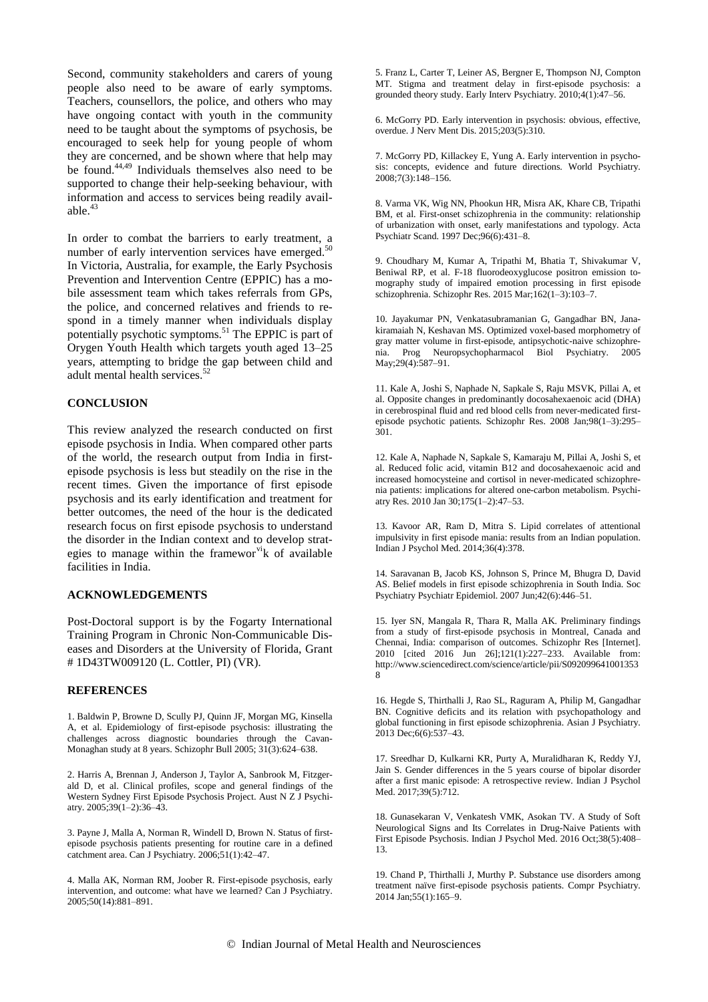Second, community stakeholders and carers of young people also need to be aware of early symptoms. Teachers, counsellors, the police, and others who may have ongoing contact with youth in the community need to be taught about the symptoms of psychosis, be encouraged to seek help for young people of whom they are concerned, and be shown where that help may be found. $44,49$  Individuals themselves also need to be supported to change their help-seeking behaviour, with information and access to services being readily available. $43$ 

In order to combat the barriers to early treatment, a number of early intervention services have emerged.<sup>50</sup> In Victoria, Australia, for example, the Early Psychosis Prevention and Intervention Centre (EPPIC) has a mobile assessment team which takes referrals from GPs, the police, and concerned relatives and friends to respond in a timely manner when individuals display potentially psychotic symptoms.<sup>51</sup> The EPPIC is part of Orygen Youth Health which targets youth aged 13–25 years, attempting to bridge the gap between child and adult mental health services.<sup>5</sup>

# **CONCLUSION**

This review analyzed the research conducted on first episode psychosis in India. When compared other parts of the world, the research output from India in firstepisode psychosis is less but steadily on the rise in the recent times. Given the importance of first episode psychosis and its early identification and treatment for better outcomes, the need of the hour is the dedicated research focus on first episode psychosis to understand the disorder in the Indian context and to develop strategies to manage within the framewor  $\overrightarrow{v}$  to available facilities in India.

# **ACKNOWLEDGEMENTS**

Post-Doctoral support is by the Fogarty International Training Program in Chronic Non-Communicable Diseases and Disorders at the University of Florida, Grant # 1D43TW009120 (L. Cottler, PI) (VR).

#### **REFERENCES**

1. Baldwin P, Browne D, Scully PJ, Quinn JF, Morgan MG, Kinsella A, et al. Epidemiology of first-episode psychosis: illustrating the challenges across diagnostic boundaries through the Cavan-Monaghan study at 8 years. Schizophr Bull 2005; 31(3):624–638.

2. Harris A, Brennan J, Anderson J, Taylor A, Sanbrook M, Fitzgerald D, et al. Clinical profiles, scope and general findings of the Western Sydney First Episode Psychosis Project. Aust N Z J Psychiatry. 2005;39(1–2):36–43.

3. Payne J, Malla A, Norman R, Windell D, Brown N. Status of firstepisode psychosis patients presenting for routine care in a defined catchment area. Can J Psychiatry. 2006;51(1):42–47.

4. Malla AK, Norman RM, Joober R. First-episode psychosis, early intervention, and outcome: what have we learned? Can J Psychiatry. 2005;50(14):881–891.

5. Franz L, Carter T, Leiner AS, Bergner E, Thompson NJ, Compton MT. Stigma and treatment delay in first-episode psychosis: a grounded theory study. Early Interv Psychiatry. 2010;4(1):47–56.

6. McGorry PD. Early intervention in psychosis: obvious, effective, overdue. J Nerv Ment Dis. 2015;203(5):310.

7. McGorry PD, Killackey E, Yung A. Early intervention in psychosis: concepts, evidence and future directions. World Psychiatry. 2008;7(3):148–156.

8. Varma VK, Wig NN, Phookun HR, Misra AK, Khare CB, Tripathi BM, et al. First-onset schizophrenia in the community: relationship of urbanization with onset, early manifestations and typology. Acta Psychiatr Scand. 1997 Dec;96(6):431–8.

9. Choudhary M, Kumar A, Tripathi M, Bhatia T, Shivakumar V, Beniwal RP, et al. F-18 fluorodeoxyglucose positron emission tomography study of impaired emotion processing in first episode schizophrenia. Schizophr Res. 2015 Mar;162(1–3):103–7.

10. Jayakumar PN, Venkatasubramanian G, Gangadhar BN, Janakiramaiah N, Keshavan MS. Optimized voxel-based morphometry of gray matter volume in first-episode, antipsychotic-naive schizophrenia. Prog Neuropsychopharmacol Biol Psychiatry. 2005 May;29(4):587–91.

11. Kale A, Joshi S, Naphade N, Sapkale S, Raju MSVK, Pillai A, et al. Opposite changes in predominantly docosahexaenoic acid (DHA) in cerebrospinal fluid and red blood cells from never-medicated firstepisode psychotic patients. Schizophr Res. 2008 Jan;98(1–3):295– 301.

12. Kale A, Naphade N, Sapkale S, Kamaraju M, Pillai A, Joshi S, et al. Reduced folic acid, vitamin B12 and docosahexaenoic acid and increased homocysteine and cortisol in never-medicated schizophrenia patients: implications for altered one-carbon metabolism. Psychiatry Res. 2010 Jan 30;175(1–2):47–53.

13. Kavoor AR, Ram D, Mitra S. Lipid correlates of attentional impulsivity in first episode mania: results from an Indian population. Indian J Psychol Med. 2014;36(4):378.

14. Saravanan B, Jacob KS, Johnson S, Prince M, Bhugra D, David AS. Belief models in first episode schizophrenia in South India. Soc Psychiatry Psychiatr Epidemiol. 2007 Jun;42(6):446–51.

15. Iyer SN, Mangala R, Thara R, Malla AK. Preliminary findings from a study of first-episode psychosis in Montreal, Canada and Chennai, India: comparison of outcomes. Schizophr Res [Internet]. 2010 [cited 2016 Jun 26];121(1):227–233. Available from: http://www.sciencedirect.com/science/article/pii/S092099641001353 8

16. Hegde S, Thirthalli J, Rao SL, Raguram A, Philip M, Gangadhar BN. Cognitive deficits and its relation with psychopathology and global functioning in first episode schizophrenia. Asian J Psychiatry. 2013 Dec;6(6):537–43.

17. Sreedhar D, Kulkarni KR, Purty A, Muralidharan K, Reddy YJ, Jain S. Gender differences in the 5 years course of bipolar disorder after a first manic episode: A retrospective review. Indian J Psychol Med. 2017;39(5):712.

18. Gunasekaran V, Venkatesh VMK, Asokan TV. A Study of Soft Neurological Signs and Its Correlates in Drug-Naive Patients with First Episode Psychosis. Indian J Psychol Med. 2016 Oct;38(5):408– 13.

19. Chand P, Thirthalli J, Murthy P. Substance use disorders among treatment naïve first-episode psychosis patients. Compr Psychiatry. 2014 Jan;55(1):165–9.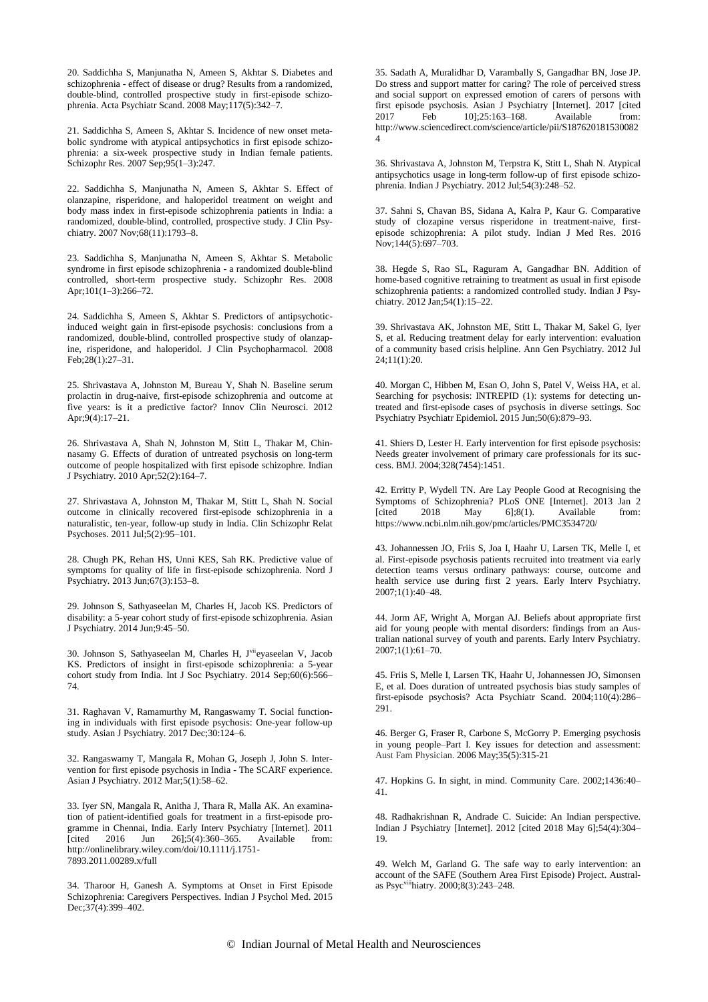20. Saddichha S, Manjunatha N, Ameen S, Akhtar S. Diabetes and schizophrenia - effect of disease or drug? Results from a randomized, double-blind, controlled prospective study in first-episode schizophrenia. Acta Psychiatr Scand. 2008 May;117(5):342–7.

21. Saddichha S, Ameen S, Akhtar S. Incidence of new onset metabolic syndrome with atypical antipsychotics in first episode schizophrenia: a six-week prospective study in Indian female patients. Schizophr Res. 2007 Sep;95(1–3):247.

22. Saddichha S, Manjunatha N, Ameen S, Akhtar S. Effect of olanzapine, risperidone, and haloperidol treatment on weight and body mass index in first-episode schizophrenia patients in India: a randomized, double-blind, controlled, prospective study. J Clin Psychiatry. 2007 Nov;68(11):1793–8.

23. Saddichha S, Manjunatha N, Ameen S, Akhtar S. Metabolic syndrome in first episode schizophrenia - a randomized double-blind controlled, short-term prospective study. Schizophr Res. 2008 Apr;101(1–3):266–72.

24. Saddichha S, Ameen S, Akhtar S. Predictors of antipsychoticinduced weight gain in first-episode psychosis: conclusions from a randomized, double-blind, controlled prospective study of olanzapine, risperidone, and haloperidol. J Clin Psychopharmacol. 2008 Feb;28(1):27–31.

25. Shrivastava A, Johnston M, Bureau Y, Shah N. Baseline serum prolactin in drug-naive, first-episode schizophrenia and outcome at five years: is it a predictive factor? Innov Clin Neurosci. 2012 Apr;9(4):17–21.

26. Shrivastava A, Shah N, Johnston M, Stitt L, Thakar M, Chinnasamy G. Effects of duration of untreated psychosis on long-term outcome of people hospitalized with first episode schizophre. Indian J Psychiatry. 2010 Apr;52(2):164–7.

27. Shrivastava A, Johnston M, Thakar M, Stitt L, Shah N. Social outcome in clinically recovered first-episode schizophrenia in a naturalistic, ten-year, follow-up study in India. Clin Schizophr Relat Psychoses. 2011 Jul;5(2):95–101.

28. Chugh PK, Rehan HS, Unni KES, Sah RK. Predictive value of symptoms for quality of life in first-episode schizophrenia. Nord J Psychiatry. 2013 Jun;67(3):153–8.

29. Johnson S, Sathyaseelan M, Charles H, Jacob KS. Predictors of disability: a 5-year cohort study of first-episode schizophrenia. Asian J Psychiatry. 2014 Jun;9:45–50.

30. Johnson S, Sathyaseelan M, Charles H, J viieyaseelan V, Jacob KS. Predictors of insight in first-episode schizophrenia: a 5-year cohort study from India. Int J Soc Psychiatry. 2014 Sep;60(6):566– 74.

31. Raghavan V, Ramamurthy M, Rangaswamy T. Social functioning in individuals with first episode psychosis: One-year follow-up study. Asian J Psychiatry. 2017 Dec;30:124–6.

32. Rangaswamy T, Mangala R, Mohan G, Joseph J, John S. Intervention for first episode psychosis in India - The SCARF experience. Asian J Psychiatry. 2012 Mar;5(1):58–62.

33. Iyer SN, Mangala R, Anitha J, Thara R, Malla AK. An examination of patient-identified goals for treatment in a first-episode programme in Chennai, India. Early Interv Psychiatry [Internet]. 2011 [cited 2016 Jun 26];5(4):360–365. Available from: http://onlinelibrary.wiley.com/doi/10.1111/j.1751- 7893.2011.00289.x/full

34. Tharoor H, Ganesh A. Symptoms at Onset in First Episode Schizophrenia: Caregivers Perspectives. Indian J Psychol Med. 2015 Dec; 37(4): 399-402.

35. Sadath A, Muralidhar D, Varambally S, Gangadhar BN, Jose JP. Do stress and support matter for caring? The role of perceived stress and social support on expressed emotion of carers of persons with first episode psychosis. Asian J Psychiatry [Internet]. 2017 [cited 2017 Feb 10]:25:163-168. Available from:  $10$ ];25:163–168. http://www.sciencedirect.com/science/article/pii/S187620181530082 4

36. Shrivastava A, Johnston M, Terpstra K, Stitt L, Shah N. Atypical antipsychotics usage in long-term follow-up of first episode schizophrenia. Indian J Psychiatry. 2012 Jul;54(3):248–52.

37. Sahni S, Chavan BS, Sidana A, Kalra P, Kaur G. Comparative study of clozapine versus risperidone in treatment-naive, firstepisode schizophrenia: A pilot study. Indian J Med Res. 2016 Nov;144(5):697–703.

38. Hegde S, Rao SL, Raguram A, Gangadhar BN. Addition of home-based cognitive retraining to treatment as usual in first episode schizophrenia patients: a randomized controlled study. Indian J Psychiatry. 2012 Jan;54(1):15–22.

39. Shrivastava AK, Johnston ME, Stitt L, Thakar M, Sakel G, Iyer S, et al. Reducing treatment delay for early intervention: evaluation of a community based crisis helpline. Ann Gen Psychiatry. 2012 Jul 24;11(1):20.

40. Morgan C, Hibben M, Esan O, John S, Patel V, Weiss HA, et al. Searching for psychosis: INTREPID (1): systems for detecting untreated and first-episode cases of psychosis in diverse settings. Soc Psychiatry Psychiatr Epidemiol. 2015 Jun;50(6):879–93.

41. Shiers D, Lester H. Early intervention for first episode psychosis: Needs greater involvement of primary care professionals for its success. BMJ. 2004;328(7454):1451.

42. Erritty P, Wydell TN. Are Lay People Good at Recognising the Symptoms of Schizophrenia? PLoS ONE [Internet]. 2013 Jan 2<br>[cited 2018 May 6];8(1). Available from: [cited  $2018$  May  $6$ ];8(1). https://www.ncbi.nlm.nih.gov/pmc/articles/PMC3534720/

43. Johannessen JO, Friis S, Joa I, Haahr U, Larsen TK, Melle I, et al. First-episode psychosis patients recruited into treatment via early detection teams versus ordinary pathways: course, outcome and health service use during first 2 years. Early Interv Psychiatry. 2007;1(1):40–48.

44. Jorm AF, Wright A, Morgan AJ. Beliefs about appropriate first aid for young people with mental disorders: findings from an Australian national survey of youth and parents. Early Interv Psychiatry. 2007;1(1):61–70.

45. Friis S, Melle I, Larsen TK, Haahr U, Johannessen JO, Simonsen E, et al. Does duration of untreated psychosis bias study samples of first-episode psychosis? Acta Psychiatr Scand. 2004;110(4):286– 291.

46. Berger G, Fraser R, Carbone S, McGorry P. Emerging psychosis in young people–Part I. Key issues for detection and assessment: Aust Fam Physician. 2006 May;35(5):315-21

47. Hopkins G. In sight, in mind. Community Care. 2002;1436:40– 41.

48. Radhakrishnan R, Andrade C. Suicide: An Indian perspective. Indian J Psychiatry [Internet]. 2012 [cited 2018 May 6];54(4):304– 19.

49. Welch M, Garland G. The safe way to early intervention: an account of the SAFE (Southern Area First Episode) Project. Australas Psycviiihiatry. 2000;8(3):243–248.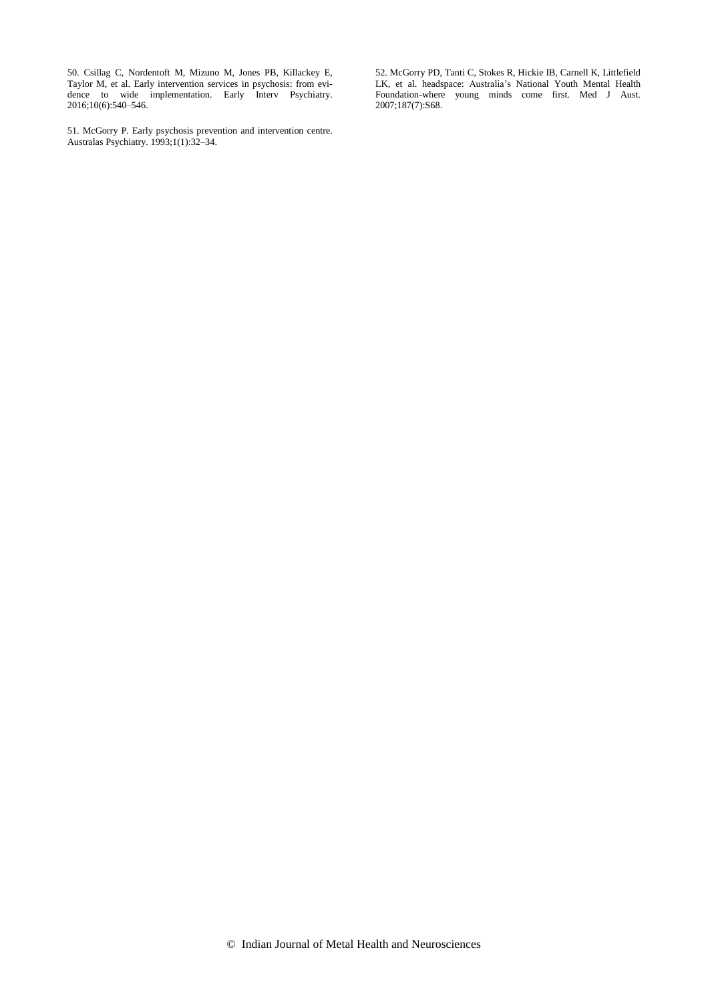50. Csillag C, Nordentoft M, Mizuno M, Jones PB, Killackey E, Taylor M, et al. Early intervention services in psychosis: from evidence to wide implementation. Early Interv Psychiatry. 2016;10(6):540–546.

51. McGorry P. Early psychosis prevention and intervention centre. Australas Psychiatry. 1993;1(1):32–34.

52. McGorry PD, Tanti C, Stokes R, Hickie IB, Carnell K, Littlefield LK, et al. headspace: Australia's National Youth Mental Health Foundation-where young minds come first. Med J Aust. 2007;187(7):S68.